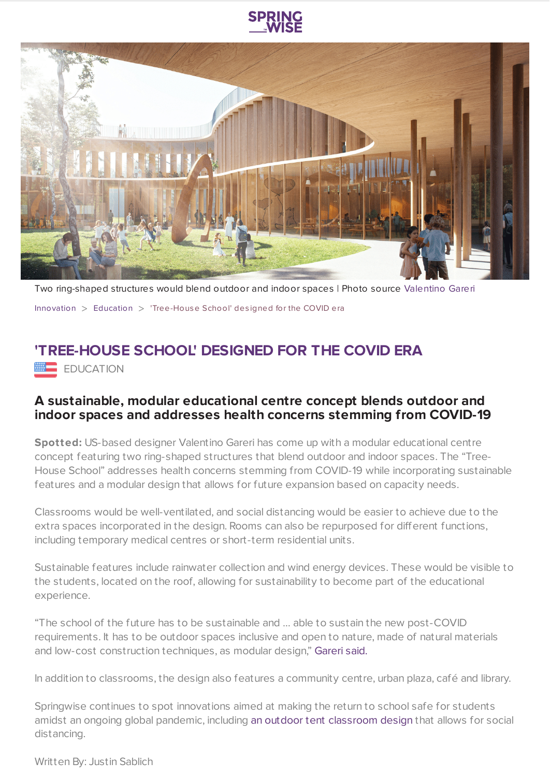



Two ring-shaped structures would blend outdoor and indoor spaces | Photo source [Valentino](https://valentinogareri.com/) Gareri

[Innovation](https://www.springwise.com/search?type=innovation)  $>$  [Education](https://www.springwise.com/search?type=innovation§or=education)  $>$  'Tree-House School' designed for the COVID era

## **'TREE-HOUSE SCHOOL' DESIGNED FOR THE COVID ERA**

**EDUCATION** 

## **A sustainable, modular educational centre concept blends outdoor and indoor spaces and addresses health concerns stemming from COVID-19**

**Spotted:** US-based designer Valentino Gareri has come up with a modular educational centre concept featuring two ring-shaped structures that blend outdoor and indoor spaces. The "Tree-House School" addresses health concerns stemming from COVID-19 while incorporating sustainable features and a modular design that allows for future expansion based on capacity needs.

Classrooms would be well-ventilated, and social distancing would be easier to achieve due to the extra spaces incorporated in the design. Rooms can also be repurposed for different functions, including temporary medical centres or short-term residential units.

Sustainable features include rainwater collection and wind energy devices. These would be visible to the students, located on the roof, allowing for sustainability to become part of the educational experience.

"The school of the future has to be sustainable and … able to sustain the new post-COVID requirements. It has to be outdoor spaces inclusive and open to nature, made of natural materials and low-cost construction techniques, as modular design," [Gareri](https://valentinogareri.com/The-Tree-House-School) said.

In addition to classrooms, the design also features a community centre, urban plaza, café and library.

Springwise continues to spot innovations aimed at making the return to school safe for students amidst an ongoing global pandemic, including an outdoor tent [classroom](https://www.springwise.com/innovation/education/tent-classrooms-socially-distanced-learning) design that allows for social distancing.

Written By: Justin Sablich